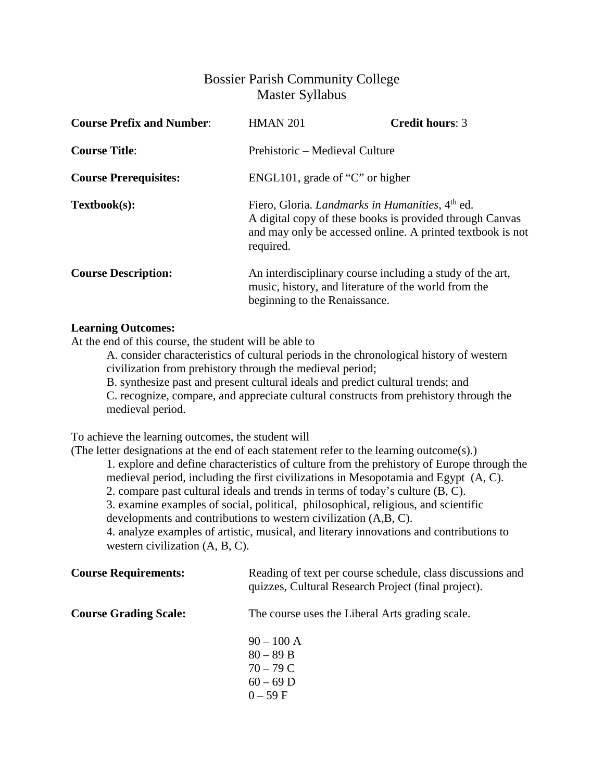## Bossier Parish Community College Master Syllabus

| <b>Course Prefix and Number:</b> | <b>HMAN 201</b>                                                                                                                                    | <b>Credit hours: 3</b>                                     |
|----------------------------------|----------------------------------------------------------------------------------------------------------------------------------------------------|------------------------------------------------------------|
| <b>Course Title:</b>             | Prehistoric – Medieval Culture                                                                                                                     |                                                            |
| <b>Course Prerequisites:</b>     | ENGL101, grade of " $C$ " or higher                                                                                                                |                                                            |
| Textbook(s):                     | Fiero, Gloria. Landmarks in Humanities, 4 <sup>th</sup> ed.<br>A digital copy of these books is provided through Canvas<br>required.               | and may only be accessed online. A printed textbook is not |
| <b>Course Description:</b>       | An interdisciplinary course including a study of the art,<br>music, history, and literature of the world from the<br>beginning to the Renaissance. |                                                            |

## **Learning Outcomes:**

At the end of this course, the student will be able to

A. consider characteristics of cultural periods in the chronological history of western civilization from prehistory through the medieval period;

B. synthesize past and present cultural ideals and predict cultural trends; and

C. recognize, compare, and appreciate cultural constructs from prehistory through the medieval period.

To achieve the learning outcomes, the student will

(The letter designations at the end of each statement refer to the learning outcome(s).)

1. explore and define characteristics of culture from the prehistory of Europe through the medieval period, including the first civilizations in Mesopotamia and Egypt (A, C).

2. compare past cultural ideals and trends in terms of today's culture (B, C).

3. examine examples of social, political, philosophical, religious, and scientific

developments and contributions to western civilization (A,B, C).

4. analyze examples of artistic, musical, and literary innovations and contributions to western civilization (A, B, C).

| <b>Course Requirements:</b>  | Reading of text per course schedule, class discussions and<br>quizzes, Cultural Research Project (final project). |
|------------------------------|-------------------------------------------------------------------------------------------------------------------|
| <b>Course Grading Scale:</b> | The course uses the Liberal Arts grading scale.                                                                   |
|                              | $90 - 100 A$<br>$80 - 89 B$<br>$70 - 79C$<br>$60 - 69$ D<br>$0 - 59 F$                                            |